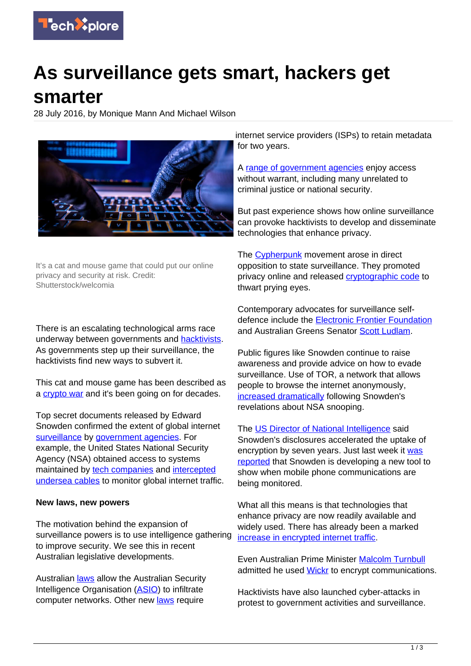

# **As surveillance gets smart, hackers get smarter**

28 July 2016, by Monique Mann And Michael Wilson



It's a cat and mouse game that could put our online privacy and security at risk. Credit: Shutterstock/welcomia

There is an escalating technological arms race underway between governments and **hacktivists**. As governments step up their surveillance, the hacktivists find new ways to subvert it.

This cat and mouse game has been described as a [crypto war](http://www.bbc.com/news/magazine-26581130) and it's been going on for decades.

Top secret documents released by Edward Snowden confirmed the extent of global internet [surveillance](https://techxplore.com/tags/surveillance/) by [government agencies](https://techxplore.com/tags/government+agencies/). For example, the United States National Security Agency (NSA) obtained access to systems maintained by [tech companies](https://www.theguardian.com/world/2013/jun/06/us-tech-giants-nsa-data) and [intercepted](http://www.smh.com.au/it-pro/security-it/edward-snowden-reveals-tapping-of-major-australianew-zealand-undersea-telecommunications-cable-20140915-10h96v.html) [undersea cables](http://www.smh.com.au/it-pro/security-it/edward-snowden-reveals-tapping-of-major-australianew-zealand-undersea-telecommunications-cable-20140915-10h96v.html) to monitor global internet traffic.

#### **New laws, new powers**

The motivation behind the expansion of surveillance powers is to use intelligence gathering to improve security. We see this in recent Australian legislative developments.

Australian [laws](https://www.legislation.gov.au/Details/C2014A00108) allow the Australian Security Intelligence Organisation [\(ASIO](https://www.asio.gov.au/)) to infiltrate computer networks. Other new [laws](https://www.legislation.gov.au/Details/C2015A00039) require

internet service providers (ISPs) to retain metadata for two years.

A [range of government agencies](http://www.abc.net.au/news/2016-01-18/government-releases-list-of-agencies-applying-to-access-metadata/7095836) enjoy access without warrant, including many unrelated to criminal justice or national security.

But past experience shows how online surveillance can provoke hacktivists to develop and disseminate technologies that enhance privacy.

The **Cypherpunk** movement arose in direct opposition to state surveillance. They promoted privacy online and released **cryptographic code** to thwart prying eyes.

Contemporary advocates for surveillance selfdefence include the [Electronic Frontier Foundation](https://ssd.eff.org/en) and Australian Greens Senator [Scott Ludlam.](http://scott-ludlam.greensmps.org.au/stopdataretention)

Public figures like Snowden continue to raise awareness and provide advice on how to evade surveillance. Use of TOR, a network that allows people to browse the internet anonymously, [increased dramatically](http://www.theregister.co.uk/2013/08/29/tor_usage_up_by_more_than_100_in_august/) following Snowden's revelations about NSA snooping.

The [US Director of National Intelligence](http://fortune.com/2016/04/25/snowden-encryption-james-clapper/) said Snowden's disclosures accelerated the uptake of encryption by seven years. Just last week it [was](https://www.theguardian.com/us-news/2016/jul/21/phone-case-privacy-data-monitor-bluetooth-wifi-snowden-introspection-engine) [reported](https://www.theguardian.com/us-news/2016/jul/21/phone-case-privacy-data-monitor-bluetooth-wifi-snowden-introspection-engine) that Snowden is developing a new tool to show when mobile phone communications are being monitored.

What all this means is that technologies that enhance privacy are now readily available and widely used. There has already been a marked [increase in encrypted internet traffic.](http://www.scmagazineuk.com/encryption-increasingly-used-to-hide-attacks-says-new-report/article/478222/)

Even Australian Prime Minister [Malcolm Turnbull](http://www.abc.net.au/news/2015-03-03/malcolm-turnbull-uses-secret-messaging-app-instead-of-sms/6276712) admitted he used **[Wickr](https://www.wickr.com/)** to encrypt communications.

Hacktivists have also launched cyber-attacks in protest to government activities and surveillance.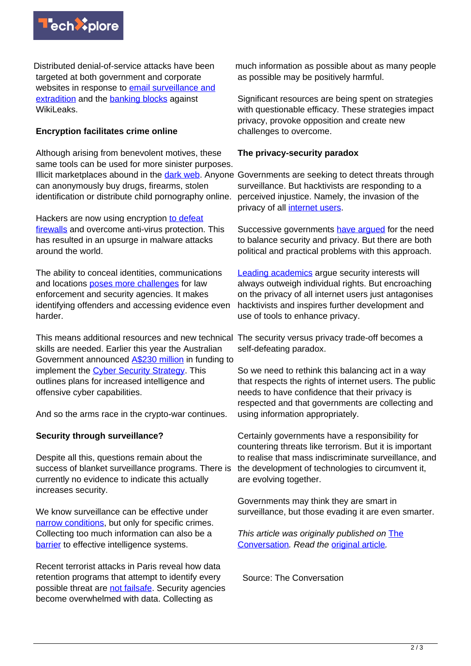

Distributed denial-of-service attacks have been targeted at both government and corporate websites in response to [email surveillance and](http://www.bbc.com/news/uk-17648852) [extradition](http://www.bbc.com/news/uk-17648852) and the [banking blocks](https://wikileaks.org/Protesters-against-WikiLeaks.html) against WikiLeaks.

## **Encryption facilitates crime online**

Although arising from benevolent motives, these same tools can be used for more sinister purposes. Illicit marketplaces abound in the **dark web**. Anyone Governments are seeking to detect threats through can anonymously buy drugs, firearms, stolen identification or distribute child pornography online.

Hackers are now using encryption [to defeat](https://www.sonicwall.com/whitepaper/2016-dell-security-annual-threat-report8107907) [firewalls](https://www.sonicwall.com/whitepaper/2016-dell-security-annual-threat-report8107907) and overcome anti-virus protection. This has resulted in an upsurge in malware attacks around the world.

The ability to conceal identities, communications and locations [poses more challenges](http://www.smh.com.au/technology/technology-news/police-follow-the-silk-road-to-online-drug-marketplace-20120810-23ztk.html) for law enforcement and security agencies. It makes identifying offenders and accessing evidence even harder.

This means additional resources and new technical The security versus privacy trade-off becomes a skills are needed. Earlier this year the Australian Government announced [A\\$230 million](http://www.budget.gov.au/2016-17/content/bp2/html/bp2_expense-20.htm) in funding to implement the [Cyber Security Strategy.](https://cybersecuritystrategy.dpmc.gov.au/assets/img/PMC-Cyber-Strategy.pdf) This outlines plans for increased intelligence and offensive cyber capabilities.

And so the arms race in the crypto-war continues.

### **Security through surveillance?**

Despite all this, questions remain about the success of blanket surveillance programs. There is currently no evidence to indicate this actually increases security.

We know surveillance can be effective under [narrow conditions,](http://www.campbellcollaboration.org/lib/project/49/) but only for specific crimes. Collecting too much information can also be a [barrier](http://euc.sagepub.com/content/1/3/307.short) to effective intelligence systems.

Recent terrorist attacks in Paris reveal how data retention programs that attempt to identify every possible threat are [not failsafe](http://www.slate.com/articles/technology/future_tense/2015/11/the_paris_attacks_weren_t_stopped_by_metadata_surveillance_that_hasn_t_stopped.html). Security agencies become overwhelmed with data. Collecting as

much information as possible about as many people as possible may be positively harmful.

Significant resources are being spent on strategies with questionable efficacy. These strategies impact privacy, provoke opposition and create new challenges to overcome.

#### **The privacy-security paradox**

surveillance. But hacktivists are responding to a perceived injustice. Namely, the invasion of the privacy of all [internet users](https://techxplore.com/tags/internet+users/).

Successive governments [have argued](http://www.abc.net.au/news/2014-09-22/abbott-warns-of-shifting-balance-freedom-security/5760818) for the need to balance security and privacy. But there are both political and practical problems with this approach.

[Leading academics](http://www.tandfonline.com/doi/abs/10.1080/08109020601030001) argue security interests will always outweigh individual rights. But encroaching on the privacy of all internet users just antagonises hacktivists and inspires further development and use of tools to enhance privacy.

self-defeating paradox.

So we need to rethink this balancing act in a way that respects the rights of internet users. The public needs to have confidence that their privacy is respected and that governments are collecting and using information appropriately.

Certainly governments have a responsibility for countering threats like terrorism. But it is important to realise that mass indiscriminate surveillance, and the development of technologies to circumvent it, are evolving together.

Governments may think they are smart in surveillance, but those evading it are even smarter.

This article was originally published on [The](http://theconversation.com) [Conversation](http://theconversation.com). Read the [original article](https://theconversation.com/as-surveillance-gets-smart-hackers-get-smarter-62773).

Source: The Conversation